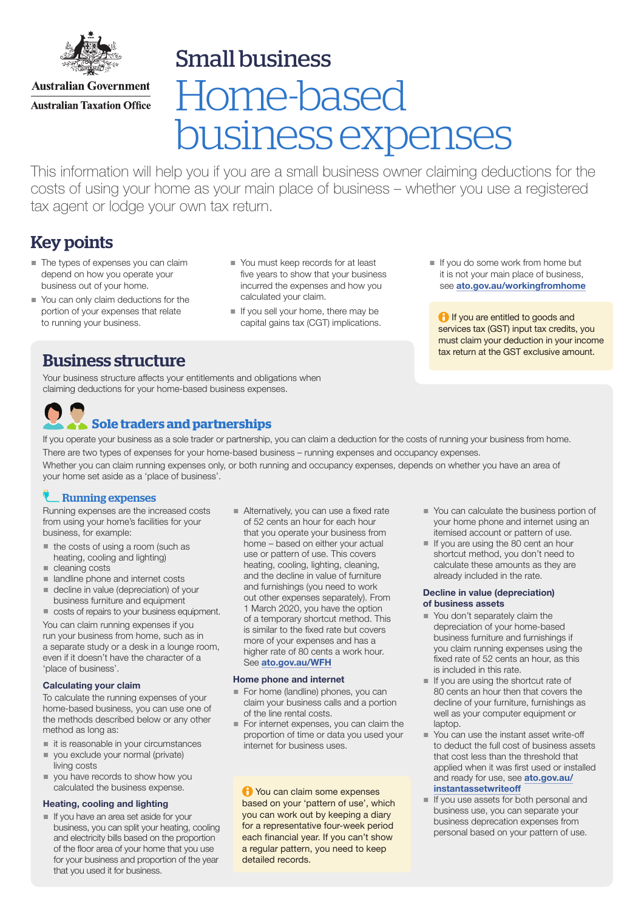

Small business

**Australian Government Australian Taxation Office** 

# Home-based business expenses

This information will help you if you are a small business owner claiming deductions for the costs of using your home as your main place of business – whether you use a registered tax agent or lodge your own tax return.

# Key points

- The types of expenses you can claim depend on how you operate your business out of your home.
- You can only claim deductions for the portion of your expenses that relate to running your business.
- You must keep records for at least five years to show that your business incurred the expenses and how you calculated your claim.
- If you sell your home, there may be capital gains tax (CGT) implications.
- $\blacksquare$  If you do some work from home but it is not your main place of business, see [ato.gov.au/workingfromhome](https://www.ato.gov.au/individuals/income-and-deductions/deductions-you-can-claim/home-office-expenses/)

**If you are entitled to goods and** services tax (GST) input tax credits, you must claim your deduction in your income tax return at the GST exclusive amount.

## Business structure

Your business structure affects your entitlements and obligations when claiming deductions for your home-based business expenses.

# **Sole traders and partnerships**

If you operate your business as a sole trader or partnership, you can claim a deduction for the costs of running your business from home. There are two types of expenses for your home-based business – running expenses and occupancy expenses.

Whether you can claim running expenses only, or both running and occupancy expenses, depends on whether you have an area of your home set aside as a 'place of business'.

#### Running expenses

Running expenses are the increased costs from using your home's facilities for your business, for example:

- $\blacksquare$  the costs of using a room (such as heating, cooling and lighting)
- cleaning costs
- landline phone and internet costs
- decline in value (depreciation) of your business furniture and equipment
- costs of repairs to your business equipment.

You can claim running expenses if you run your business from home, such as in a separate study or a desk in a lounge room, even if it doesn't have the character of a 'place of business'.

#### Calculating your claim

To calculate the running expenses of your home-based business, you can use one of the methods described below or any other method as long as:

- $i$  it is reasonable in your circumstances
- vou exclude your normal (private) living costs
- vou have records to show how you calculated the business expense.

#### Heating, cooling and lighting

If you have an area set aside for your business, you can split your heating, cooling and electricity bills based on the proportion of the floor area of your home that you use for your business and proportion of the year that you used it for business.

Alternatively, you can use a fixed rate of 52 cents an hour for each hour that you operate your business from home – based on either your actual use or pattern of use. This covers heating, cooling, lighting, cleaning, and the decline in value of furniture and furnishings (you need to work out other expenses separately). From 1 March 2020, you have the option of a temporary shortcut method. This is similar to the fixed rate but covers more of your expenses and has a higher rate of 80 cents a work hour. See [ato.gov.au/](http://ato.gov.au/wfh)WFH

#### Home phone and internet

- For home (landline) phones, you can claim your business calls and a portion of the line rental costs.
- For internet expenses, you can claim the proportion of time or data you used your internet for business uses.

**1** You can claim some expenses based on your 'pattern of use', which you can work out by keeping a diary for a representative four-week period each financial year. If you can't show a regular pattern, you need to keep detailed records.

- You can calculate the business portion of your home phone and internet using an itemised account or pattern of use.
- $\blacksquare$  If you are using the 80 cent an hour shortcut method, you don't need to calculate these amounts as they are already included in the rate.

#### Decline in value (depreciation) of business assets

- You don't separately claim the depreciation of your home-based business furniture and furnishings if you claim running expenses using the fixed rate of 52 cents an hour, as this is included in this rate.
- $\blacksquare$  If you are using the shortcut rate of 80 cents an hour then that covers the decline of your furniture, furnishings as well as your computer equipment or laptop.
- You can use the instant asset write-off to deduct the full cost of business assets that cost less than the threshold that applied when it was first used or installed and ready for use, see [ato.gov.au/](http://ato.gov.au/instantassetwriteoff) [instantassetwriteoff](http://ato.gov.au/instantassetwriteoff)
- If you use assets for both personal and business use, you can separate your business deprecation expenses from personal based on your pattern of use.